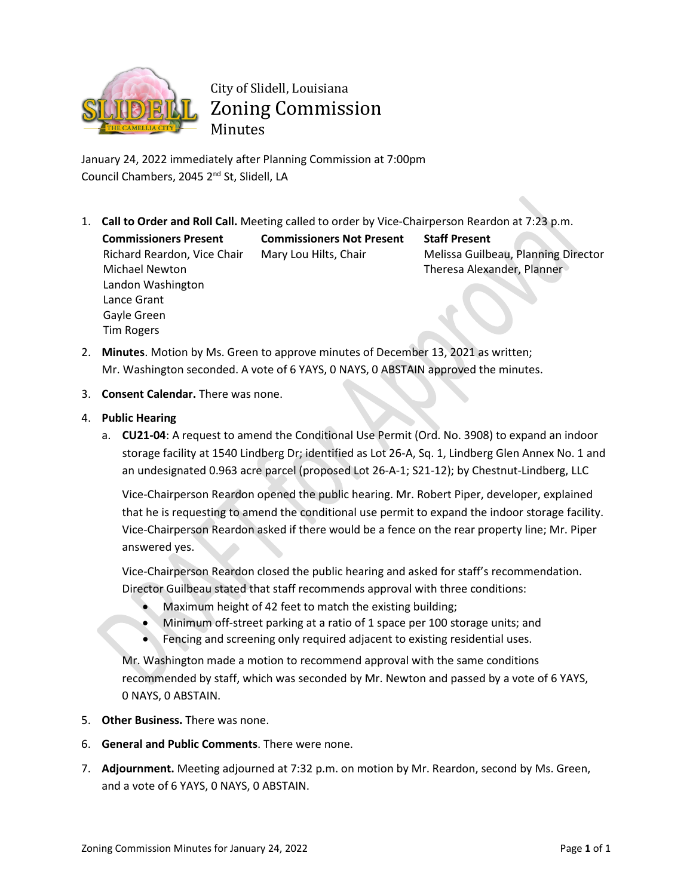

## City of Slidell, Louisiana Zoning Commission Minutes

January 24, 2022 immediately after Planning Commission at 7:00pm Council Chambers, 2045 2<sup>nd</sup> St, Slidell, LA

1. **Call to Order and Roll Call.** Meeting called to order by Vice-Chairperson Reardon at 7:23 p.m.

**Commissioners Present Commissioners Not Present Staff Present** Richard Reardon, Vice Chair Michael Newton Landon Washington Lance Grant Gayle Green Tim Rogers

Mary Lou Hilts, Chair Melissa Guilbeau, Planning Director Theresa Alexander, Planner

- 2. **Minutes**. Motion by Ms. Green to approve minutes of December 13, 2021 as written; Mr. Washington seconded. A vote of 6 YAYS, 0 NAYS, 0 ABSTAIN approved the minutes.
- 3. **Consent Calendar.** There was none.
- 4. **Public Hearing**
	- a. **CU21-04**: A request to amend the Conditional Use Permit (Ord. No. 3908) to expand an indoor storage facility at 1540 Lindberg Dr; identified as Lot 26-A, Sq. 1, Lindberg Glen Annex No. 1 and an undesignated 0.963 acre parcel (proposed Lot 26-A-1; S21-12); by Chestnut-Lindberg, LLC

Vice-Chairperson Reardon opened the public hearing. Mr. Robert Piper, developer, explained that he is requesting to amend the conditional use permit to expand the indoor storage facility. Vice-Chairperson Reardon asked if there would be a fence on the rear property line; Mr. Piper answered yes.

Vice-Chairperson Reardon closed the public hearing and asked for staff's recommendation. Director Guilbeau stated that staff recommends approval with three conditions:

- Maximum height of 42 feet to match the existing building;
- Minimum off-street parking at a ratio of 1 space per 100 storage units; and
- Fencing and screening only required adjacent to existing residential uses.

Mr. Washington made a motion to recommend approval with the same conditions recommended by staff, which was seconded by Mr. Newton and passed by a vote of 6 YAYS, 0 NAYS, 0 ABSTAIN.

- 5. **Other Business.** There was none.
- 6. **General and Public Comments**. There were none.
- 7. **Adjournment.** Meeting adjourned at 7:32 p.m. on motion by Mr. Reardon, second by Ms. Green, and a vote of 6 YAYS, 0 NAYS, 0 ABSTAIN.